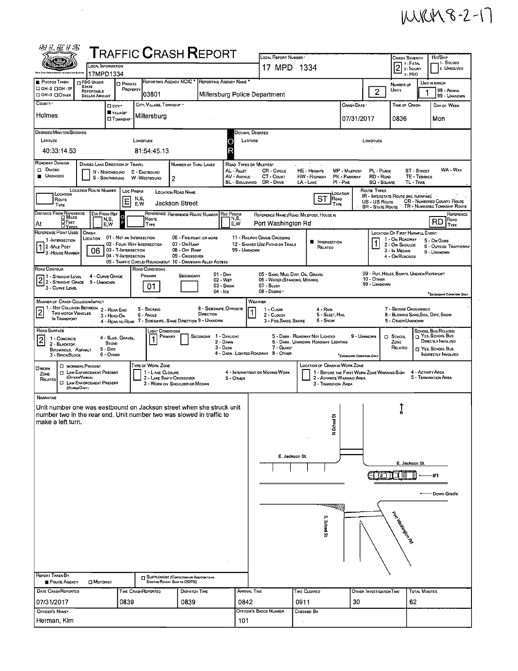## MKM8-2-17

| 网工后升器                                                                                                                                                                          |                                                                                                                                                                                                                                                                                                                               |                                                                                                                                                        |                                         |                                                                                                      |                              |                                       | <b>TRAFFIC CRASH REPORT</b>                                                                                                                |                                      |                                                    | LOCAL REPORT NUMBER                                                                             |                |                                                                                                                                         |                                                 |                                        | <b>CRASH SEVERITY</b>                                                                                          |                                    | HIT/SKIP                                                                                                        |
|--------------------------------------------------------------------------------------------------------------------------------------------------------------------------------|-------------------------------------------------------------------------------------------------------------------------------------------------------------------------------------------------------------------------------------------------------------------------------------------------------------------------------|--------------------------------------------------------------------------------------------------------------------------------------------------------|-----------------------------------------|------------------------------------------------------------------------------------------------------|------------------------------|---------------------------------------|--------------------------------------------------------------------------------------------------------------------------------------------|--------------------------------------|----------------------------------------------------|-------------------------------------------------------------------------------------------------|----------------|-----------------------------------------------------------------------------------------------------------------------------------------|-------------------------------------------------|----------------------------------------|----------------------------------------------------------------------------------------------------------------|------------------------------------|-----------------------------------------------------------------------------------------------------------------|
| LOCAL INFORMATION<br>17MPD1334<br>Information Avetse                                                                                                                           |                                                                                                                                                                                                                                                                                                                               |                                                                                                                                                        |                                         |                                                                                                      |                              |                                       |                                                                                                                                            |                                      |                                                    |                                                                                                 | 17 MPD 1334    |                                                                                                                                         |                                                 |                                        |                                                                                                                |                                    | 1 - Solveo<br>2. UNSOLVEO                                                                                       |
| <b>PHOTOS TAKEN</b><br>□ 0Н-2 □ 0Н-1Р                                                                                                                                          |                                                                                                                                                                                                                                                                                                                               | <b>D</b> PDO UNDER<br>State<br>REPORTABLE                                                                                                              |                                         | <b>D</b> PRIVATE<br>PROPERTY                                                                         |                              |                                       | REPORTING AGENCY NCIC * REPORTING AGENCY NAME *                                                                                            |                                      |                                                    |                                                                                                 |                |                                                                                                                                         |                                                 |                                        | NUMBER OF<br>Units                                                                                             |                                    | UNIT IN ERROR<br>98 - ANIMAL                                                                                    |
| <b>CI OH-3 CIOTHER</b><br>COUNTY .                                                                                                                                             |                                                                                                                                                                                                                                                                                                                               | $\overline{2}$<br>103801<br>Millersburg Police Department<br><b>DOLLAR AMOUNT</b><br>CITY, VILLAGE, TOWNSHIP .<br>CRASH DATE<br>TIME OF CRASH<br>□ cm· |                                         |                                                                                                      |                              |                                       |                                                                                                                                            |                                      |                                                    |                                                                                                 |                |                                                                                                                                         | 99 - UNKNOWN<br>DAY OF WEEK                     |                                        |                                                                                                                |                                    |                                                                                                                 |
| Holmes                                                                                                                                                                         |                                                                                                                                                                                                                                                                                                                               |                                                                                                                                                        |                                         | VILLAGE*<br><b>CI</b> TOWNSHIP                                                                       |                              | Millersburg                           |                                                                                                                                            |                                      |                                                    |                                                                                                 |                |                                                                                                                                         | 07/31/2017                                      |                                        | 0836                                                                                                           | Mon                                |                                                                                                                 |
| DEGREES/MINUTES/SECONDS                                                                                                                                                        |                                                                                                                                                                                                                                                                                                                               |                                                                                                                                                        |                                         |                                                                                                      |                              |                                       |                                                                                                                                            |                                      |                                                    | DECIMAL DEGREES                                                                                 |                |                                                                                                                                         |                                                 |                                        |                                                                                                                |                                    |                                                                                                                 |
| LATITUDE<br>40:33:14.53                                                                                                                                                        |                                                                                                                                                                                                                                                                                                                               |                                                                                                                                                        |                                         |                                                                                                      | LONGITUDE                    | 81:54:45.13                           |                                                                                                                                            |                                      | C<br>$\overline{\mathsf{R}}$                       | LATITUDE                                                                                        |                |                                                                                                                                         |                                                 | LONGITUDE                              |                                                                                                                |                                    |                                                                                                                 |
| ROADWAY DIVISION<br>Divipeo<br><b>UNDIVIDED</b>                                                                                                                                |                                                                                                                                                                                                                                                                                                                               | DIVIDED LANE DIRECTION OF TRAVEL                                                                                                                       |                                         | N - NORTHBOUND<br>S - SOUTHBOUND                                                                     | E - EASTBOUND<br>W-WESTBOUND |                                       | NUMBER OF THRU LANES<br>$\overline{2}$                                                                                                     |                                      | AL - ALLEY<br>AV - AVENUE<br><b>BL</b> - BOULEVARD | ROAD TYPES OR MILEPOST<br>CR - CIRCLE<br>CT - Count<br>DR - DRNE                                |                | $\rightarrow$<br><b>HE-HEIGHTS</b><br>HW - HIGHWAY<br>LA - LANE                                                                         | MP - MILEPOST<br>PK - PARKWAY<br>$PI - P_{IKE}$ | PL - PLACE<br>RD - Roap<br>SQ - SQUARE | TL - TRAIL                                                                                                     | <b>ST - STREET</b><br>TE - TERRACE | WA - Way                                                                                                        |
| Route<br>Түре                                                                                                                                                                  | <b>LOCATION ROUTE NUMBER</b><br>ROUTE TYPES<br>Loc PREFIX<br><b>LOCATION ROAD NAME</b><br>LOCATION<br>LOCATION<br>IR - INTERSTATE ROUTE (INC. TURNPIKE)<br>ST<br>ROAD<br>N,S,<br>E<br>CR - NUMBERED COUNTY ROUTE<br>US - US Route<br>E.W<br>Jackson Street<br>TYPE<br>TR - NUMBERED TOWNSHIP ROUTE<br><b>SR - State Route</b> |                                                                                                                                                        |                                         |                                                                                                      |                              |                                       |                                                                                                                                            |                                      |                                                    |                                                                                                 |                |                                                                                                                                         |                                                 |                                        |                                                                                                                |                                    |                                                                                                                 |
| DISTANCE FROM REFERENCE<br>$\Box$ Feet<br>At<br><b>DYARDS</b>                                                                                                                  |                                                                                                                                                                                                                                                                                                                               |                                                                                                                                                        | DIR FROM REF<br>N,S,<br>E,W             | F                                                                                                    |                              | ROUTE<br>TYPE                         | REFERENCE REFERENCE ROUTE NUMBER                                                                                                           |                                      | <b>REF PREFIX</b><br>N, S,<br>E, W                 | REFERENCE NAME (ROAD, MILEPOST, HOUSE #)<br>Port Washington Rd                                  |                |                                                                                                                                         |                                                 |                                        |                                                                                                                |                                    | REFERENCE<br>Road<br>RD<br>TYPE                                                                                 |
| REFERENCE POINT USED<br>1 - INTERSECTION<br>1<br>2 - MILE POST<br>3 - HOUSE NUMBER                                                                                             |                                                                                                                                                                                                                                                                                                                               | CRASH<br>LOCATION<br>06                                                                                                                                |                                         | 01 - NOT AN INTERSECTION<br>02 - FOUR-WAY INTERSECTION<br>03 - T-INTERSECTION<br>04 - Y-INTERSECTION |                              |                                       | 06 - FIVE-POINT, OR MORE<br>07 - On RAMP<br>08 - Off RAMP<br>09 - Crossover<br>05 - TRAFFIC CIRCLE/ ROUNDABOUT 10 - DRIVEWAY/ ALLEY ACCESS |                                      | 99 - UNKNOWN                                       | 11 - RAILWAY GRADE CROSSING<br>12 - SHARED-USE PATHS OR TRAILS                                  |                | <b>N</b> INTERSECTION<br>RELATEO                                                                                                        |                                                 |                                        | <b>LOCATION OF FIRST HARMFUL EVENT</b><br>1 - On ROADWAY<br>2 - On Shoulde<br>3 - In Median<br>4 - On ROADSIDE |                                    | 5 ON GORE<br>6 - OUTSIDE TRAFFICWAY<br>9 - UNKNOWN                                                              |
| ROAD CONTOUR<br>1 - STRAIGHT LEVEL<br>2 - STRAIGHT LEVEL<br>3 - CURVE LEVEL                                                                                                    |                                                                                                                                                                                                                                                                                                                               | 9 - UNKNOWN                                                                                                                                            | 4 - CURVE GRADE                         |                                                                                                      |                              | ROAD CONDITIONS<br>PRIMARY<br>01      | <b>SECONDARY</b>                                                                                                                           | $04 -$ Ice                           | $01 - \text{Dry}$<br>02 - Wer<br>03 - Snow         | 05 - SAND, MUD, DIRT, OIL, GRAVEL<br>06 - WATER (STANDING, MOVING)<br>07 - SLUSH<br>08 - DEBRIS |                |                                                                                                                                         |                                                 | 10 - Отнев<br>99 - UNKNOWN             | 09 - RUT, HOLES, BUMPS, UNEVEN PAVEMENT                                                                        |                                    | SECONDARY CONDITION ONLY                                                                                        |
| MANNER OF CRASH COLLISION/IMPACT<br>1 - NOT COLLISION BETWEEN 2 - REAR-END<br>$\overline{2}$<br>TWO MOTOR VEHICLES<br>IN TRANSPORT                                             |                                                                                                                                                                                                                                                                                                                               |                                                                                                                                                        |                                         | 3 - HEAD-ON                                                                                          |                              | 5 BACKING<br>6 - Angle                | 4 - REAR-TO-REAR 7 - SIDESWIPE, SAME DIRECTION 9 - UNKNOWN                                                                                 | 8 - SIDESWIPE, OPPOSITE<br>DIRECTION |                                                    | WEATHER<br>1 - CLEAR<br>2 - CLOUDY<br>3 - Fog, Smog, Smoke                                      |                | 4 - RAIN<br>5 - SLEET, HAIL<br>6 - Snow                                                                                                 |                                                 |                                        | 7 - Severe Crosswinds<br>8 - BLOWING SAND, SOIL, DIRT, SNOW<br>9 - OTHER/UNKNOWN                               |                                    |                                                                                                                 |
| ROAD SURFACE<br>$\overline{2}$<br>1 - CONCRETE<br>2 - BLACKTOP.<br>BITUMINOUS, ASPHALT<br>3 - BRICK/BLOCK                                                                      |                                                                                                                                                                                                                                                                                                                               |                                                                                                                                                        | <b>STONE</b><br>$5 - DIRT$<br>6 - OTHER | 4 - SLAG, GRAVEL.                                                                                    |                              | <b>LIGHT CONDITIONS</b><br>Primary    |                                                                                                                                            | SECONDAR 1 - DAYLIGHT                | 2 - DAWN<br>3 - Dusk                               | 7 - GLARE*<br>4 - DARK - LIGHTED ROADWAY 8 - OTHER                                              |                | 5 - DARK - ROADWAY NOT LIGHTEO<br>6 - DARK - UNKNOWN ROADWAY LIGHTING                                                                   | 9 - UNKNOWN<br>"SECONDARY CONOITION ONLY        |                                        | D SCHOOL<br>ZONE<br>RELATED                                                                                    |                                    | SCHOOL BUS RELATED<br>T YES, SCHOOL BUS<br>DIRECTLY INVOLVED<br>T YES, SCHOOL BUS<br><b>INDIRECTLY INVOLVED</b> |
| <b>OWORK</b><br>ZONE<br>RELATED                                                                                                                                                |                                                                                                                                                                                                                                                                                                                               | C WORKERS PRESENT<br><b>COLAW ENFORCEMENT PRESENT</b><br>(OFFICER VEHICLE)<br><b>C LAW ENFORCEMENT PRESENT</b><br>(VEHOLEOMY)                          |                                         |                                                                                                      |                              | TYPE OF WORK ZONE<br>1 - LANE CLOSURE | 2 - LANE SHIFT/ CROSSOVER<br>3 - WORK ON SHOULDER OR MEDIAN                                                                                |                                      | 5 - OTHER                                          | 4 - INTERMITTENT OR MOVING WORK                                                                 |                | <b>LOCATION OF CRASH IN WORK ZONE</b><br>1 - BEFORE THE FIRST WORK ZONE WARNING SIGN<br>2 - ADVANCE WARNING AREA<br>3 - Transition Area |                                                 |                                        |                                                                                                                |                                    | 4 - ACTIVITY AREA<br>5 - TERMINATION AREA                                                                       |
| NARRATIVE<br>Unit number one was eastbound on Jackson street when she struck unit<br>number two in the rear end. Unit number two was slowed in traffic to<br>make a left turn. |                                                                                                                                                                                                                                                                                                                               |                                                                                                                                                        |                                         |                                                                                                      |                              |                                       |                                                                                                                                            |                                      |                                                    |                                                                                                 | E. Jackson St. | й<br>N School                                                                                                                           |                                                 |                                        |                                                                                                                |                                    |                                                                                                                 |
|                                                                                                                                                                                |                                                                                                                                                                                                                                                                                                                               |                                                                                                                                                        |                                         |                                                                                                      |                              |                                       |                                                                                                                                            |                                      |                                                    |                                                                                                 |                |                                                                                                                                         |                                                 | าชาน                                   | E. Jackson St.<br>10                                                                                           |                                    | -#1                                                                                                             |
| REPORT TAKEN BY                                                                                                                                                                |                                                                                                                                                                                                                                                                                                                               |                                                                                                                                                        |                                         |                                                                                                      |                              |                                       |                                                                                                                                            |                                      |                                                    |                                                                                                 |                | a <del>rall</del> ll)<br>S. Schad St.                                                                                                   |                                                 |                                        | pot Nebstrand Rd                                                                                               |                                    | Down Grade                                                                                                      |
| POLICE AGENCY<br><b>DATE CRASHREPORTED</b>                                                                                                                                     |                                                                                                                                                                                                                                                                                                                               | <b>D</b> MOTORIST                                                                                                                                      |                                         |                                                                                                      | TIME CRASHREPORTED           |                                       | SUPPLEMENT (CORRECTION OR ADDITION TO AN<br>EXISTING REPORT SENT TO ODPS)<br><b>DISPATCH TIME</b>                                          |                                      |                                                    | ARRIVAL TIME                                                                                    |                | TIME CLEARED                                                                                                                            |                                                 | OTHER INVESTIGATION TIME               |                                                                                                                | <b>TOTAL MINUTES</b>               |                                                                                                                 |
| 07/31/2017                                                                                                                                                                     |                                                                                                                                                                                                                                                                                                                               |                                                                                                                                                        |                                         | 0839                                                                                                 |                              |                                       | 0839                                                                                                                                       |                                      | 0842                                               |                                                                                                 | 0911           |                                                                                                                                         | 30                                              |                                        | 62                                                                                                             |                                    |                                                                                                                 |
| OFFICER'S NAME*<br>Herman, Kim                                                                                                                                                 |                                                                                                                                                                                                                                                                                                                               |                                                                                                                                                        |                                         |                                                                                                      |                              |                                       |                                                                                                                                            |                                      | 101                                                | Officer's Badge Number                                                                          |                | Снескер Ву                                                                                                                              |                                                 |                                        |                                                                                                                |                                    |                                                                                                                 |
|                                                                                                                                                                                |                                                                                                                                                                                                                                                                                                                               |                                                                                                                                                        |                                         |                                                                                                      |                              |                                       |                                                                                                                                            |                                      |                                                    |                                                                                                 |                |                                                                                                                                         |                                                 |                                        |                                                                                                                |                                    |                                                                                                                 |

 $\frac{1}{2}$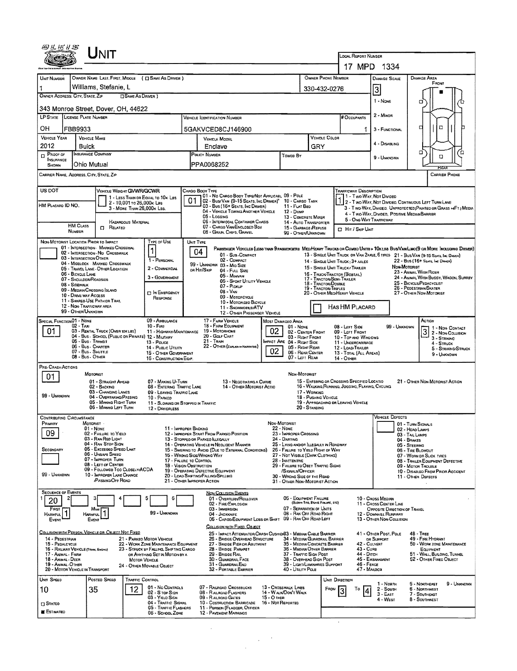|                                                                                   | Unit                                                                                                          |                            |                                                                                |    |                                                                                                                       |               |                                                 |                                                                                    |                                                                                                 |                                                      |                                                                                                                                                                                                                     |  |  |  |  |
|-----------------------------------------------------------------------------------|---------------------------------------------------------------------------------------------------------------|----------------------------|--------------------------------------------------------------------------------|----|-----------------------------------------------------------------------------------------------------------------------|---------------|-------------------------------------------------|------------------------------------------------------------------------------------|-------------------------------------------------------------------------------------------------|------------------------------------------------------|---------------------------------------------------------------------------------------------------------------------------------------------------------------------------------------------------------------------|--|--|--|--|
|                                                                                   |                                                                                                               |                            |                                                                                |    | LOCAL REPORT NUMBER<br>17 MPD 1334                                                                                    |               |                                                 |                                                                                    |                                                                                                 |                                                      |                                                                                                                                                                                                                     |  |  |  |  |
| UNIT NUMBER                                                                       | OWNER NAME: LAST, FIRST, MIDDLE ( C SAME AS DRIVER )                                                          |                            |                                                                                |    |                                                                                                                       |               |                                                 | OWNER PHONE NUMBER                                                                 |                                                                                                 | <b>DAMAGE SCALE</b>                                  | DAMAGE AREA                                                                                                                                                                                                         |  |  |  |  |
|                                                                                   | Williams, Stefanie, L                                                                                         |                            |                                                                                |    |                                                                                                                       |               |                                                 | 330-432-0276                                                                       |                                                                                                 | 3                                                    | FRONT                                                                                                                                                                                                               |  |  |  |  |
| OWNER ADDRESS: CITY, STATE, ZIP                                                   |                                                                                                               | □ SAME AS DRIVER )         |                                                                                |    |                                                                                                                       |               |                                                 | 1 - None                                                                           | о                                                                                               |                                                      |                                                                                                                                                                                                                     |  |  |  |  |
| 343 Monroe Street, Dover, OH, 44622<br>2 - MINOR<br>LP STATE LICENSE PLATE NUMBER |                                                                                                               |                            |                                                                                |    |                                                                                                                       |               |                                                 |                                                                                    |                                                                                                 |                                                      |                                                                                                                                                                                                                     |  |  |  |  |
|                                                                                   |                                                                                                               |                            |                                                                                |    | VEHICLE DENTIFICATION NUMBER                                                                                          |               |                                                 |                                                                                    | <b># OCCUPANTS</b>                                                                              |                                                      | а<br>□                                                                                                                                                                                                              |  |  |  |  |
| OН<br>VEHICLE YEAR                                                                | FBB9933<br><b>VEHICLE MAKE</b>                                                                                |                            |                                                                                |    | 5GAKVCED8CJ146900<br>VEHICLE MODEL                                                                                    |               |                                                 | <b>VEHICLE COLOR</b>                                                               | 1.                                                                                              | 3 - FUNCTIONAL                                       |                                                                                                                                                                                                                     |  |  |  |  |
| 2012                                                                              | Buick                                                                                                         |                            |                                                                                |    | Enclave                                                                                                               |               |                                                 | GRY                                                                                |                                                                                                 | 4 - DISABLING                                        | α                                                                                                                                                                                                                   |  |  |  |  |
| $\overline{p}$ Proof of<br>INSURANCE<br><b>SHOWN</b>                              | INSURANCE COMPANY<br>Ohio Mutual                                                                              |                            |                                                                                |    | <b>POLICY NUMBER</b><br>PPA0068252                                                                                    |               | Toweo By                                        |                                                                                    |                                                                                                 | 9 - UNKNOWN                                          | α<br>O                                                                                                                                                                                                              |  |  |  |  |
|                                                                                   | CARRIER NAME, ADDRESS, CITY, STATE, ZIP                                                                       |                            |                                                                                |    |                                                                                                                       |               |                                                 |                                                                                    |                                                                                                 |                                                      | <b>CARRIER PHONE</b>                                                                                                                                                                                                |  |  |  |  |
| US DOT                                                                            |                                                                                                               | VEHICLE WEIGHT GWWR/GCWR   |                                                                                |    | CARGO BOOY TYPE                                                                                                       |               |                                                 |                                                                                    | TRAFFICWAY DESCRIPTION                                                                          |                                                      |                                                                                                                                                                                                                     |  |  |  |  |
|                                                                                   |                                                                                                               | 2 - 10,001 to 26,000x Las  | 1 - LESS THAN OR EQUAL TO 10K LBS                                              | 01 | 01 - No CARGO BODY TYPE/NOT APPLICABL 09 - POLE<br>02 - Bus/Van (9-15 Seats, Inc Driver) <sup>9</sup> 10 - Cargo Tank |               |                                                 |                                                                                    | 1 1 - Two-Way, Not Divideo                                                                      |                                                      | 1 2 - Two WAY, NOT DIVIDEO, CONTINUOUS LEFT TURN LANE                                                                                                                                                               |  |  |  |  |
| HM PLACARD ID NO.                                                                 |                                                                                                               | 3 - MORE THAN 26,000K LBS. |                                                                                |    | 03 - Bus (16+ Seats, Inc Driver)<br>04 - VEHICLE TOWING ANOTHER VEHICLE<br>05 - Logging                               |               | 11 - FLAT BED<br>12 - Duse                      |                                                                                    |                                                                                                 | 4 - Two-Way, Divideo, Positive Median Barrier        | 3 - Two-WAY, Divided, UNPROTECTED (PAINTED OR GRASS >4FT.) MEDIA                                                                                                                                                    |  |  |  |  |
|                                                                                   | <b>HM CLASS</b><br>$\Box$<br>RELATED                                                                          | HAZARDOUS MATERIAL         |                                                                                |    | <b>06 - INTERMOOAL CONTAINER CHASIS</b><br>07 - CARGO VAN ENCLOSED BOX                                                |               |                                                 | 13 - CONCRETE MIXER<br>14 - AUTO TRANSPORTER<br>15 - GARBAGE REFUSE                | 5 - ONE-WAY TRAFFICWAY<br>Hit / Skip Unit                                                       |                                                      |                                                                                                                                                                                                                     |  |  |  |  |
|                                                                                   | NUMBER<br>NON-MOTORIST LOCATION PRIOR TO IMPACT                                                               |                            | TYPE OF USE                                                                    |    | 08 - GRAN, CHIPS, GRAVEL<br>UNIT TYPE                                                                                 |               |                                                 | 99 - OTHER/UNKNOWN                                                                 |                                                                                                 |                                                      |                                                                                                                                                                                                                     |  |  |  |  |
|                                                                                   | 01 - INTERSECTION - MARKED CROSSWAL<br>02 - INTERSECTION - NO CROSSWALK                                       |                            | $\mathbf{1}$                                                                   |    | 04<br>01 - Sua-Compact                                                                                                |               |                                                 |                                                                                    |                                                                                                 |                                                      | PASSENGER VEHICLES (LESS THAN 9 PASSENGERS MEDIMEANY TRUCKS OR COMSO UNITS > 10K LBS BUS/VAN/LIMO(9 OR MORE INCLUDING DRIVER)<br>13 - SINGLE UNIT TRUCK OR VAN 2AXLE, 6 TIRES 21 - BUS/VAN (9-15 SEATS, INC DRIVER) |  |  |  |  |
|                                                                                   | 03 - INTERSECTION OTHER<br>04 - MIOBLOCK - MARKED CROSSWALK                                                   |                            | 1 - PERSONAL                                                                   |    | 02 - COMPACT<br>99 - UNKNOWN 03 - MID SIZE                                                                            |               |                                                 |                                                                                    | 14 - SINGLE UNIT TRUCK; 3+ AXLES                                                                |                                                      | 22 - BUS (16+ SEATG, INC DRIVER)<br>Non-Motorist                                                                                                                                                                    |  |  |  |  |
|                                                                                   | 05 - TRAVEL LANE - OTHER LOCATION<br>06 - BICYCLE LANE                                                        |                            | 2 - COMMERCIAL<br>3 - GOVERNMENT                                               |    | OR HIT/SKIP<br>$04 - FunSize$<br>05 - MINIVAN                                                                         |               |                                                 | 17 - TRACTOR/SEMI-TRAILER                                                          | 15 - SINGLE UNIT TRUCK/ TRAILER<br>16 - TRUCK/TRACTOR (BOBTAIL)                                 |                                                      | 23 - ANIMAL WITH RIDER<br>24 - ANIMAL WITH BUGGY, WAGON, SURREY                                                                                                                                                     |  |  |  |  |
|                                                                                   | 07 - SHOULDER/ROADSIDE<br>08 - Sidewalk<br>09 - Median/Crossing SLAND                                         |                            |                                                                                |    | 06 - Sport Utility Vehicle<br>07 - Pickup<br>$08 - V_{AN}$                                                            |               |                                                 | 18 - TRACTOR/DOUBLE<br>19 - TRACTOR/TRIPLES                                        |                                                                                                 |                                                      | 25 - BICYCLE/PEDACYCLIST<br>26 - PEOESTRIAN/SKATER                                                                                                                                                                  |  |  |  |  |
|                                                                                   | 10 - DRIVE WAY ACCESS<br>11 - SHAREO-USE PATH OR TRAIL                                                        |                            | <b>DIN EMERGENCY</b><br>RESPONSE                                               |    | 09 - MOTORCYCLE<br>10 - Motonizeo Bicycle                                                                             |               |                                                 | 20 - OTHER MEO/HEAVY VEHICLE<br>27 - OTHER NON-MOTORIST                            |                                                                                                 |                                                      |                                                                                                                                                                                                                     |  |  |  |  |
|                                                                                   | 12 - NON-TRAFFICWAY AREA<br>99 - OTHER/UNKNOWN                                                                |                            |                                                                                |    | 11 - SNOWMOBLE/ATV<br>12 - OTHER PASSENGER VEHICLE                                                                    |               |                                                 | HAS HM PLACARD                                                                     |                                                                                                 |                                                      |                                                                                                                                                                                                                     |  |  |  |  |
| SPECIAL FUNCTION 01 - NONE                                                        | $02 - T_{AA}$                                                                                                 |                            | 09 - AMBULANCE<br>$10 - F_{IRE}$                                               |    | 17 - FARM VEHICLE<br>18 - FARM EQUIPMENT                                                                              |               | <b>MOST DAMAGEO AREA</b><br>01 - None           |                                                                                    | $08 - Lerr$ Sioe                                                                                | 99 - UNKNOWN                                         | Астюм<br>1 - NON-CONTACT                                                                                                                                                                                            |  |  |  |  |
| 01                                                                                | 03 - RENTAL TRUCK (OVER 10K LBS)<br>04 - Bus - SCHOOL (PUBLIC OR PRIVATE) 12 - MILITARY<br>05 - Bus - Transit |                            | 11 - HIGHWAY/MAINTENANCE                                                       |    | 19 - Мотояноме<br>20 - Golf Cart<br>$21 -$ Train                                                                      | 02            |                                                 | 02 - CENTER FRONT<br>03 - RIGHT FRONT                                              | 09 - LEFT FRONT<br>10 - TOP AND WINDOWS                                                         |                                                      | 3 <br>2 - Non-Collision<br>3 - STRIKING                                                                                                                                                                             |  |  |  |  |
|                                                                                   | 06 - Bus. Charter<br>07 - Bus - Swurrus                                                                       |                            | 13 - Pouce<br>14 - Pusuc Utility<br>15 - OTHER GOVERNMENT                      |    | 22 - OTHER (EXPLAN IN NATRATIVE)                                                                                      | 02            | MPACT ARE 04 - RIGHT SIDE<br>05 - Right Rear    | 06 - REAR CENTER                                                                   | 11 - UNDERCARRIAGE<br>12 - LOAD/TRAILER<br>13 - TOTAL (ALL AREAS)                               |                                                      | 4 - STRUCK<br>5 - STRIKING/STRUCK                                                                                                                                                                                   |  |  |  |  |
| PRE-CRASH ACTIONS                                                                 | 08 - Bus - OTHER                                                                                              |                            | 16 - CONSTRUCTION EQIP.                                                        |    |                                                                                                                       |               | 07 - LEFT REAR                                  |                                                                                    | 14 - Отнея                                                                                      |                                                      | 9 - Unknown                                                                                                                                                                                                         |  |  |  |  |
| 01                                                                                | Moronist                                                                                                      |                            |                                                                                |    |                                                                                                                       |               | Now-Motorist                                    |                                                                                    |                                                                                                 |                                                      |                                                                                                                                                                                                                     |  |  |  |  |
|                                                                                   | 01 - STRAIGHT AHEAD<br>02 - Backing<br>03 - CHANGING LANES                                                    |                            | 07 - MAKING U-TURN<br>08 - ENTERING TRAFFIC LANE                               |    | 13 - NEGOTIATING A CURVE<br>14 - OTHER MOTORIST ACTIO                                                                 |               |                                                 |                                                                                    | 15 - ENTERING OR CROSSING SPECIFIED LOCATIO<br>16 - WALKING, RUNNING, JOGGING, PLAVING, CYCLING |                                                      | 21 - OTHER NON-MOTORIST ACTION                                                                                                                                                                                      |  |  |  |  |
| 99 - UNKNOWN                                                                      | 04 - Overtaking/Passing<br>05 - MAKING RIGHT TURN                                                             |                            | 09 - LEAVING TRAFFIC LANE<br>10 - PARKED<br>11 - SLOWING OR STOPPED IN TRAFFIC |    |                                                                                                                       |               |                                                 | 17 - WORKING<br>18 - Pushing Vehicle                                               | 19 - APPROACHING OR LEAVING VEHICLE                                                             |                                                      |                                                                                                                                                                                                                     |  |  |  |  |
|                                                                                   | 06 - MAKING LEFT TURN                                                                                         |                            | 12 - DRIVERLESS                                                                |    |                                                                                                                       |               |                                                 | 20 - STANDING                                                                      |                                                                                                 | <b>VEHICLE DEFECTS</b>                               |                                                                                                                                                                                                                     |  |  |  |  |
| <b>CONTRIBUTING CIRCUMSTANCE</b><br>Primary                                       | MOTORIST<br>$01 - None$                                                                                       |                            | 11 - IMPROPER BACKING                                                          |    |                                                                                                                       |               | NON-MOTORIST<br>22 - None                       |                                                                                    |                                                                                                 |                                                      | 01 - TURN SIGNALS                                                                                                                                                                                                   |  |  |  |  |
| 09                                                                                | 02 - FAILURE TO YIELD<br>03 - RAN RED LIGHT                                                                   |                            |                                                                                |    | 12 - IMPROPER START FROM PARKED POSITION<br>13 - STOPPEO OR PARKEO ILLEGALLY                                          |               | 23 - IMPROPER CROSSING<br>24 - DARTING          |                                                                                    |                                                                                                 |                                                      | 02 - HEAO LAMPS<br>03 - TAIL LAMPS<br>04 - BRAKES                                                                                                                                                                   |  |  |  |  |
| SECONDARY                                                                         | 04 - RAN STOP SIGN<br>05 - Excesoso Speso Limit                                                               |                            |                                                                                |    | 14 - OPERATING VEHICLE IN NEGLIGENT MANNER<br>15 - Swering to Avoid (Due to External Conditions)                      |               |                                                 | 25 - LYING ANOJOR LLEGALLY IN ROADWAY<br>26 - FALURE TO YIELD RIGHT OF WAY         |                                                                                                 |                                                      | 05 - STEERING<br>06 - TIRE BLOWDUT                                                                                                                                                                                  |  |  |  |  |
|                                                                                   | 06 - UNSAFE SPEED<br>07 - IMPROPER TURN<br>08 - LEFT OF CENTER                                                |                            | 17 - FALURE TO CONTROL<br>18 - VISION OBSTRUCTION                              |    | 15 - WRONG SIDE/WRONG WAY                                                                                             |               | 28 - INATTENTIVE                                | 27 - NOT VISBLE (DARK CLOTHING)<br>29 - FAILURE TO OBEY TRAFFIC SIGNS              |                                                                                                 |                                                      | 07 - WORN OR SLICK TIRES<br>08 - TRAILER EQUIPMENT DEFECTIVE<br>09 - MOTOR TROUBLE                                                                                                                                  |  |  |  |  |
| 99 - UNKNOWN                                                                      | 09 - FOLLOWEO TOO CLOSELY/ACDA<br>10 - IMPROPER LANE CHANGE                                                   |                            |                                                                                |    | 19 - OPERATING DEFECTIVE EQUIPMENT<br>20 - LOAD SHETING/FALLING/SPILLING                                              |               | /SIGNALS/OFFICER<br>30 - Wrong Side of the Road |                                                                                    | 10 - DISABLED FROM PRIOR ACCIDENT<br>11 - OTHER DEFECTS                                         |                                                      |                                                                                                                                                                                                                     |  |  |  |  |
|                                                                                   | <b>PASSING OFF ROAD</b>                                                                                       |                            |                                                                                |    | 21 - OTHER IMPROPER ACTION                                                                                            |               |                                                 | 31 - OTHER NON-MOTORIST ACTION                                                     |                                                                                                 |                                                      |                                                                                                                                                                                                                     |  |  |  |  |
| <b>SEQUENCE OF EVENTS</b><br>20                                                   |                                                                                                               |                            | 5<br>6                                                                         |    | <b>NON-COLLISION EVENTS</b><br>01 - Overturn/ROLLOVER<br>02 - FIRE/EXPLOSION                                          |               |                                                 | 06 - EQUIPMENT FAILURE<br>(BLOWN TIRE, BRAKE FARURE, ETC)                          |                                                                                                 | 10 - Cross Median<br>11 - Cross Center Line          |                                                                                                                                                                                                                     |  |  |  |  |
| FIRST<br><b>HARMFUL</b>                                                           | Most<br>Harmful                                                                                               |                            | 99 - UNKNOWN                                                                   |    | 03 - IMMERSION<br>04 - JACKKNIFE                                                                                      |               |                                                 | 07 - SEPARATION OF UNITS<br>08 - RAN OFF ROAD RIGHT                                |                                                                                                 | OPPOSITE DIRECTION OF TRAVEL<br>12 - DOWNHEL RUNAWAY |                                                                                                                                                                                                                     |  |  |  |  |
| EVENT                                                                             | EVENT                                                                                                         |                            |                                                                                |    | 05 - CARGO/EQUIPMENT LOSS OR SHIFT 09 - RAN OFF ROAD LEFT<br>COLLISION WITH FIXED, OBJECT                             |               |                                                 |                                                                                    |                                                                                                 | 13 - OTHER NON-COLLISION                             |                                                                                                                                                                                                                     |  |  |  |  |
| 14 - PEDESTRIAN                                                                   | COLLISION WITH PERSON, VEHICLE OR OBJECT NOT FIXED                                                            |                            | 21 - PARKED MOTOR VEHICLE                                                      |    | 25 - IMPACT ATTENUATOR/CRASH CUSHIONS3 - MEOLAN CABLE BARRIER<br>26 - BRIDGE OVERHEAD STRUCTURE                       |               |                                                 | 34 - MEDIAN GUARDRAIL BARRIER                                                      |                                                                                                 | 41 - Other Post, Pole<br>OR SUPPORT                  | 48 - TREE<br>49 - FIRE HYDRANT                                                                                                                                                                                      |  |  |  |  |
| 15 - PEDALCYCLE                                                                   | 16 - RAILWAY VEHICLE (TRAN, ENGINE)                                                                           |                            | 22 - WORK ZONE MAINTENANCE EQUIPMENT<br>23 - STRUCK BY FALLING, SHIFTING CARGO |    | 27 - BRIDGE PIER OR ABUTMENT<br>28 - BRIDGE PARAPET                                                                   |               |                                                 | 35 - MEDIAN CONCRETE BARRIER<br>36 - MEDIAN OTHER BARRIER                          | 42 - CULVERT<br>43 - Cuna                                                                       |                                                      | 50 - WORK ZONE MAINTENANCE<br>EQUIPMENT                                                                                                                                                                             |  |  |  |  |
| 17 - ANIMAL - FARM<br>18 - Anmal - Deer<br>19 - ANMAL-OTHER                       |                                                                                                               |                            | OR ANYTHING SET IN MOTION BY A<br><b>MOTOR VEHICLE</b>                         |    | 29 - BRIDGE RAIL<br>30 - GUARDRAIL FACE<br>31 - GUARDRAILEND                                                          |               |                                                 | 37 - Traffic Sign Post<br>38 - Overhead Sign Post<br>39 - LIGHT/LUMINARIES SUPPORT | 44 - Опен<br>46 - Fence                                                                         | 45 - EMBANKMENT                                      | 51 - WALL, BULOING, TUNNEL<br>52 - Отнея Fixed Овлест                                                                                                                                                               |  |  |  |  |
|                                                                                   | 20 - MOTOR VEHICLE IN TRANSPORT                                                                               |                            | 24 - OTHER MOVABLE OBJECT                                                      |    | 32 - PORTABLE BARRIER                                                                                                 |               | 40 - UTILITY POLE                               |                                                                                    | 47 - Mailbox                                                                                    |                                                      |                                                                                                                                                                                                                     |  |  |  |  |
| UNIT SPEED<br>10                                                                  | POSTED SPEED<br>35                                                                                            | TRAFFIC CONTROL<br>12      | 01 - No CONTROLS                                                               |    | 07 - RAILROAD CROSSBUCKS                                                                                              |               | 13 - CROSSWALK LINES                            | FROM                                                                               | UNIT DIRECTION<br>To                                                                            | 1 - North<br>2 - South                               | 9 - UNKNOWN<br>5 - NORTHEAST<br>6 - NORTHWEST                                                                                                                                                                       |  |  |  |  |
|                                                                                   |                                                                                                               |                            | 02 - S TOP SIGN<br>03 - YIELD SIGN<br>04 - TRAFFIC SIGNAL                      |    | 08 - RAILROAD FLASHERS<br>09 - RAILROAD GATES<br>10 - Costruction Barricade                                           | $15 - O$ then | 14 - WALNOON'T WALK<br>16 - Not Reported        |                                                                                    |                                                                                                 | 3 - East<br>4 - West                                 | 7 - SOUTHEAST<br>8 - SOUTHWEST                                                                                                                                                                                      |  |  |  |  |
| $\square$ Stateo<br><b>ESTIMATED</b>                                              |                                                                                                               |                            | 05 - Traffic Flashers<br>06 - School Zone                                      |    | 11 - PERSON (FLAGGER, OFFICER<br><b>12 - PAVEMENT MARKINGS</b>                                                        |               |                                                 |                                                                                    |                                                                                                 |                                                      |                                                                                                                                                                                                                     |  |  |  |  |
|                                                                                   |                                                                                                               |                            |                                                                                |    |                                                                                                                       |               |                                                 |                                                                                    |                                                                                                 |                                                      |                                                                                                                                                                                                                     |  |  |  |  |
|                                                                                   |                                                                                                               |                            |                                                                                |    |                                                                                                                       |               |                                                 |                                                                                    |                                                                                                 |                                                      |                                                                                                                                                                                                                     |  |  |  |  |
|                                                                                   |                                                                                                               |                            |                                                                                |    |                                                                                                                       |               |                                                 |                                                                                    |                                                                                                 |                                                      |                                                                                                                                                                                                                     |  |  |  |  |
|                                                                                   |                                                                                                               |                            |                                                                                |    |                                                                                                                       |               |                                                 |                                                                                    |                                                                                                 |                                                      |                                                                                                                                                                                                                     |  |  |  |  |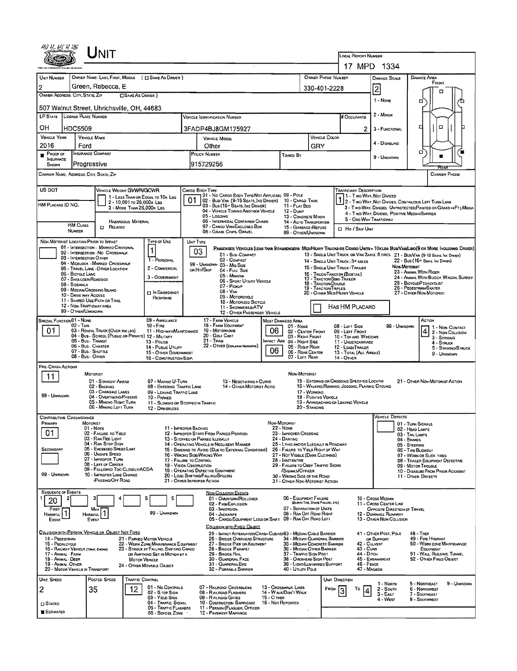|                                                             |                                                                                         | LOCAL REPORT NUMBER                                                      |                                                                                                             |                                                                                                  |                                              |                                                                                           |                                        |                                                                                                 |                                                                                                                          |                                                        |                                                                               |                                                                                                                              |  |  |  |  |  |
|-------------------------------------------------------------|-----------------------------------------------------------------------------------------|--------------------------------------------------------------------------|-------------------------------------------------------------------------------------------------------------|--------------------------------------------------------------------------------------------------|----------------------------------------------|-------------------------------------------------------------------------------------------|----------------------------------------|-------------------------------------------------------------------------------------------------|--------------------------------------------------------------------------------------------------------------------------|--------------------------------------------------------|-------------------------------------------------------------------------------|------------------------------------------------------------------------------------------------------------------------------|--|--|--|--|--|
|                                                             |                                                                                         |                                                                          | 17 MPD 1334                                                                                                 |                                                                                                  |                                              |                                                                                           |                                        |                                                                                                 |                                                                                                                          |                                                        |                                                                               |                                                                                                                              |  |  |  |  |  |
| UNIT NUMBER<br>$\overline{2}$                               | OWNER NAME: LAST, FIRST, MIDDLE ( [ ] SAME AS DRIVER )<br>Green, Rebecca, E             |                                                                          |                                                                                                             | OWNER PHONE NUMBER                                                                               | DAMAGE AREA<br><b>DAMAGE SCALE</b><br>FRONT  |                                                                                           |                                        |                                                                                                 |                                                                                                                          |                                                        |                                                                               |                                                                                                                              |  |  |  |  |  |
| OWNER ADDRESS: CITY, STATE, ZIP                             |                                                                                         | <b>CISAME AS DRIVER</b> )                                                | 330-401-2228                                                                                                |                                                                                                  |                                              | 2                                                                                         |                                        |                                                                                                 |                                                                                                                          |                                                        |                                                                               |                                                                                                                              |  |  |  |  |  |
| 1 - None<br>о<br>507 Walnut Street, Uhrichsville, OH, 44683 |                                                                                         |                                                                          |                                                                                                             |                                                                                                  |                                              |                                                                                           |                                        |                                                                                                 |                                                                                                                          |                                                        |                                                                               |                                                                                                                              |  |  |  |  |  |
| LP STATE LICENSE PLATE NUMBER                               |                                                                                         | # OCCUPANTS                                                              | 2 - Minon                                                                                                   |                                                                                                  |                                              |                                                                                           |                                        |                                                                                                 |                                                                                                                          |                                                        |                                                                               |                                                                                                                              |  |  |  |  |  |
| OН<br><b>HDC5509</b>                                        |                                                                                         |                                                                          |                                                                                                             | 3FADP4BJ8GM175927                                                                                |                                              |                                                                                           |                                        |                                                                                                 | 2                                                                                                                        | 3 - FUNCTIONAL                                         |                                                                               | o<br>о                                                                                                                       |  |  |  |  |  |
| <b>VEHICLE YEAR</b>                                         | <b>VEHICLE MAKE</b>                                                                     |                                                                          | <b>VEHICLE COLOR</b><br><b>VEHICLE MODEL</b>                                                                |                                                                                                  |                                              |                                                                                           |                                        |                                                                                                 |                                                                                                                          |                                                        |                                                                               |                                                                                                                              |  |  |  |  |  |
| 2016<br>Proof of                                            | Ford<br>INSURANCE COMPANY                                                               |                                                                          |                                                                                                             | Other                                                                                            |                                              | GRY                                                                                       |                                        |                                                                                                 | 4 - DISABLING                                                                                                            |                                                        | o                                                                             |                                                                                                                              |  |  |  |  |  |
| <b>INSURANCE</b><br>SHOWN                                   | Progressive                                                                             |                                                                          | POLICY NUMBER<br>Towro By<br>915729256                                                                      |                                                                                                  |                                              |                                                                                           |                                        |                                                                                                 |                                                                                                                          | 9 - UNKNOWN                                            |                                                                               |                                                                                                                              |  |  |  |  |  |
| CARRIER NAME, ADDRESS, CITY, STATE, ZIP                     |                                                                                         |                                                                          |                                                                                                             |                                                                                                  |                                              |                                                                                           |                                        |                                                                                                 |                                                                                                                          |                                                        |                                                                               | CARRIER PHONE                                                                                                                |  |  |  |  |  |
| US DOT                                                      | VEHICLE WEIGHT GVWR/GCWR                                                                |                                                                          | CARGO BODY TYPE                                                                                             |                                                                                                  |                                              |                                                                                           |                                        |                                                                                                 | <b>TRAFFICWAY DESCRIPTION</b>                                                                                            |                                                        |                                                                               |                                                                                                                              |  |  |  |  |  |
|                                                             | 2 - 10,001 To 26,000K Las                                                               | 1 - LESS THAN OR EQUAL TO 10K LBS                                        |                                                                                                             | 01 - No CARGO BODY TYPE/NOT APPLICABL 09 - POLE<br>02 - Bus/Van (9-15 Seats, Inc Driver)         |                                              | 10 - CARGO TANK                                                                           |                                        |                                                                                                 |                                                                                                                          | 11 - Two Way, Not Divided                              |                                                                               | 1 - T WO-WAY, NOT DIVIDED.<br>2 - T WO-WAY, NOT DIVIDED, CONTINUOUS LEFT TURN LANE                                           |  |  |  |  |  |
| HM PLACARD ID NO.                                           |                                                                                         | 3 - MORE THAN 26,000K LBS.                                               |                                                                                                             | 03 - Bus (16+ Seats, Inc Driver)<br>04 - VEHICLE TOWING ANOTHER VEHICLE                          |                                              | 11 - FLAT BED<br>12 - Duwe                                                                |                                        |                                                                                                 |                                                                                                                          | 4 - Two-Way, Divided, Positive Median Barrier          |                                                                               | 3 - Two-Way, Divided, Unprotected (Painted or Grass >>>FT3 Media                                                             |  |  |  |  |  |
| <b>HM CLASS</b>                                             | HAZARODUS MATERIAL                                                                      |                                                                          |                                                                                                             | 05 - Locging<br>06 - INTERMODAL CONTAINER CHASIS                                                 |                                              | 13 - CONCRETE MIXER<br>14 - AUTO TRANSPORTER                                              |                                        |                                                                                                 | 5 - ONE WAY TRAFFICWAY                                                                                                   |                                                        |                                                                               |                                                                                                                              |  |  |  |  |  |
| NUMBER                                                      | <b>D</b> RELATED                                                                        |                                                                          |                                                                                                             | 07 - CARGO VAN/ENCLOSED BOX<br>08 - GRAIN, CHIPS, GRAVEL                                         |                                              | 15 - GARBAGE/REFUSE<br>99 - OTHER/UNKNOWN                                                 |                                        |                                                                                                 | <b>CI HIT / SKIP UNIT</b>                                                                                                |                                                        |                                                                               |                                                                                                                              |  |  |  |  |  |
| NON-MOTORIST LOCATION PRIOR TO IMPACT                       | 01 - INTERSECTION - MARKED CROSSWAL                                                     | <b>TYPE OF USE</b>                                                       | UNIT TYPE                                                                                                   |                                                                                                  |                                              |                                                                                           |                                        |                                                                                                 |                                                                                                                          |                                                        |                                                                               | PASSENGER VEHICLES (LESS THAN 9 PASSENGERS MED/HEAVY TRUCKS OR COMBO UNITS > 10KLBS BUS/VAR/LIMO(9 OR MORE INCLUDING DRIVER) |  |  |  |  |  |
| 03 - INTERSECTION OTHER                                     | 02 - INTERSECTION NO CROSSWALK                                                          | 1<br>1 - PERSONAL                                                        | 03                                                                                                          | 01 - Sub-Compact<br>02 - COMPACT                                                                 |                                              |                                                                                           |                                        |                                                                                                 |                                                                                                                          |                                                        |                                                                               | 13 - SINGLE UNIT TRUCK OR VAN 2AXLE, 6 TIRES 21 - BUS/VAN (9-15 SEATS, INC DIWER)                                            |  |  |  |  |  |
|                                                             | 04 - MIDBLOCK - MARKED CROSSWALK<br>05 - TRAVEL LANE - OTHER LOCATION                   | 2 - COMMERCIAL                                                           | OR HIT/SKIP                                                                                                 | 99 - UNKNOWN 03 - Mio Size<br>04 - Full Size                                                     |                                              |                                                                                           |                                        |                                                                                                 | 22 - BUS (16+ Seats, Inc Driver)<br>14 - SINGLE UNIT TRUCK: 3+ AXLES<br>NON-MOTORIST<br>15 - SINGLE UNIT TRUCK / TRAILER |                                                        |                                                                               |                                                                                                                              |  |  |  |  |  |
| 06 - BICYCLE LANE                                           | 07 - SHOULDER/ROADSIDE                                                                  | 3 - GOVERNMENT                                                           |                                                                                                             | 05 - MINIVAN<br>06 - Sport Utility Vehicle                                                       |                                              |                                                                                           |                                        | 16 - TRUCK/TRACTOR (BOBTAIL)<br>17 - TRACTOR/SEMI-TRAILER                                       |                                                                                                                          |                                                        |                                                                               | 23 - ANIMAL WITH RIDER<br>24 - ANIMAL WITH BUGGY, WAGON, SURREY                                                              |  |  |  |  |  |
| 08 - SIDEWALK                                               | 09 - MEDIAN/CROSSING ISLAND                                                             | <b>D IN EMERGENCY</b>                                                    | 18 - TRACTOR/DOUBLE<br>07 - Pickup<br>19 - Tractor/Triples<br>$08 - V_{AN}$<br>20 - OTHER MEDIHEAVY VEHICLE |                                                                                                  |                                              |                                                                                           |                                        |                                                                                                 |                                                                                                                          |                                                        | 25 - BICYCLE/PEDACYCLIST<br>26 - PEDESTRIAN/SKATER<br>27 - OTHER NON-MOTORIST |                                                                                                                              |  |  |  |  |  |
| 10 - DRIVE WAY ACCESS                                       | 11 - SHARED-USE PATH OR TRAIL<br>12 - NON-TRAFFICWAY AREA                               | RESPONSE                                                                 | 09 - MOTORCYCLE<br>10 - MOTORIZED BICYCLE                                                                   |                                                                                                  |                                              |                                                                                           |                                        |                                                                                                 |                                                                                                                          |                                                        |                                                                               |                                                                                                                              |  |  |  |  |  |
| 99 - OTHER/UNKNOWN                                          |                                                                                         |                                                                          | 11 - SNOWMOBLE/ATV<br>12 - OTHER PASSENGER VEHICLE                                                          |                                                                                                  |                                              |                                                                                           |                                        |                                                                                                 | HAS HM PLACARD                                                                                                           |                                                        |                                                                               |                                                                                                                              |  |  |  |  |  |
| SPECIAL FUNCTION 01 - NONE<br>$02 - T_Ax_1$                 |                                                                                         | 09 - AMBULANCE<br>$10 -$ Fire                                            | 17 - FARM VEHICLE<br>18 - FARM EQUIPMENT                                                                    | 08 - LEFT SIDE                                                                                   |                                              |                                                                                           | 99 - UNKNOWN                           | ACTION<br>1 - Non-Contact                                                                       |                                                                                                                          |                                                        |                                                                               |                                                                                                                              |  |  |  |  |  |
| 01.                                                         | 03 - RENTAL TRUCK (OVER 10K LBS)<br>04 - Bus - SCHOOL (PUBLIC OR PRIVATE) 12 - MILITARY | 11 - HIGHWAY/MAINTENANCE                                                 |                                                                                                             | 19 - Мотовноме<br>20 - GOLF CART                                                                 | 06                                           | 02 - CENTER FRONT<br>03 - Right Front                                                     |                                        | 09 - LEFT FRONT<br>10 - TOP AND WINDOWS                                                         |                                                                                                                          |                                                        |                                                                               | 4 2 - NON-COLUSION<br>$3 -$ Striking                                                                                         |  |  |  |  |  |
|                                                             | 05 - Bus - Transit<br>06 - Bus - Charter                                                | 13 - Pouce<br>14 - Pusuc Unury                                           |                                                                                                             | $21 - \text{TRAM}$<br>22 - OTHER (EXPLANARY NARRATIVE)                                           | MPACT ARE 04 - RIGHT SIDE<br>05 - Right Rear |                                                                                           | 11 - UNDERCARRIAGE<br>12 - LOAD/TRALER |                                                                                                 |                                                                                                                          |                                                        | 4 - STRUCK<br>5 - STRIKING/STRUCK                                             |                                                                                                                              |  |  |  |  |  |
|                                                             | 07 - Bus - Shut rle<br>08 - Bus - Other                                                 | 15 - OTHER GOVERNMENT<br>16 - CONSTRUCTION EQUP.                         | 06<br>06 - REAR CENTER<br>07 - LEFT REAR                                                                    |                                                                                                  |                                              |                                                                                           |                                        |                                                                                                 | 13 - TOTAL (ALL AREAS)<br>14 - OTHER                                                                                     |                                                        |                                                                               | 9 - Unknown                                                                                                                  |  |  |  |  |  |
| PRE-CRASH ACTIONS                                           | <b>MOTORIST</b>                                                                         |                                                                          |                                                                                                             |                                                                                                  |                                              | Non-Motorist                                                                              |                                        |                                                                                                 |                                                                                                                          |                                                        |                                                                               |                                                                                                                              |  |  |  |  |  |
| 11                                                          | 01 - STRAIGHT AHEAD                                                                     | 07 - MAKINO U-TURN                                                       |                                                                                                             | 13 - NEGOTIATINO A CURVE<br>14 - OTHER MOTORIST ACTIO                                            |                                              |                                                                                           |                                        | 15 - ENTERING OR CROSSING SPECIFIED LOCATIO<br>16 - WALKING, RUNNING, JOGGING, PLAYING, CYCLING |                                                                                                                          |                                                        |                                                                               | 21 - OTHER NON-MOTORIST ACTION                                                                                               |  |  |  |  |  |
| 99 - UNKNOWN                                                | 02 - Backing<br>03 - CHANGING LANES<br>04 - OVERTAKING/PASSING                          | 08 - ENTERING TRAFFIC LANE<br>09 - LEAVING TRAFFIC LANE<br>10 - PARKED   |                                                                                                             |                                                                                                  |                                              |                                                                                           | 17 - WORKING<br>18 - PUSHING VEHICLE   |                                                                                                 |                                                                                                                          |                                                        |                                                                               |                                                                                                                              |  |  |  |  |  |
|                                                             | 05 - MAKING RIGHT TURN<br>06 - MAKING LEFT TURN                                         | 11 - SLOWING OR STOPPED IN TRAFFIC<br>12 - DRIVERLESS                    |                                                                                                             |                                                                                                  |                                              |                                                                                           | $20 -$ Standing                        | 19 - APPROACHING OR LEAVING VEHICLE                                                             |                                                                                                                          |                                                        |                                                                               |                                                                                                                              |  |  |  |  |  |
| <b>CONTRIBUTING CIRCUMSTANCE</b>                            |                                                                                         |                                                                          |                                                                                                             |                                                                                                  |                                              |                                                                                           |                                        |                                                                                                 |                                                                                                                          | <b>VEHICLE DEFECTS</b>                                 |                                                                               |                                                                                                                              |  |  |  |  |  |
| Primary                                                     | MOTORIST<br>01 - None                                                                   |                                                                          | 11 - IMPROPER BACKING                                                                                       |                                                                                                  | NDN MOTORIST                                 | <b>22 - NONE</b>                                                                          |                                        |                                                                                                 |                                                                                                                          |                                                        |                                                                               | 01 - TURN SIGNALS<br>02 - HEAD LAMPS                                                                                         |  |  |  |  |  |
| 01                                                          | 02 - FAILURE TO YIELD<br>03 - RAN RED LIGHT                                             |                                                                          |                                                                                                             | 12 - IMPROPER START FROM PARKED POSITION<br>13 - STOPPED OR PARKED ILLEGALLY                     |                                              | 23 - IMPROPER CROSSING<br>24 - DARTING                                                    |                                        |                                                                                                 |                                                                                                                          |                                                        | 03 - TAIL LAMPS<br>04 - BRAKES                                                |                                                                                                                              |  |  |  |  |  |
| SECONDARY                                                   | 04 - RAN STOP SIGN<br>05 - Excessed Speed Limit<br>06 - UNSAFE SPEED                    |                                                                          |                                                                                                             | 14 - OPERATING VEHICLE IN NEGLIGENT MANNER<br>15 - Swering to Avoid (Due to External Conditions) |                                              | 25 - LYING AND/OR LLEGALLY IN ROADWAY<br>26 - FALURE TO YIELD RIGHT OF WAY                |                                        |                                                                                                 |                                                                                                                          |                                                        | 05 - STEERING                                                                 | 06 - TIRE BLOWOUT                                                                                                            |  |  |  |  |  |
|                                                             | 07 - IMPROPER TURN<br>08 - LEFT OF CENTER                                               |                                                                          | 16 - WRONG SIDE/WRONG WAY<br>17 - FALURE TO CONTROL<br>18 - Vision Osstruction                              |                                                                                                  |                                              | 27 - NOT VISBLE (DARK CLOTHING)<br>28 - INATTENTIVE<br>29 - FAILURE TO OBEY TRAFFIC SIGNS |                                        |                                                                                                 |                                                                                                                          |                                                        |                                                                               | 07 - WORN OR SLICK TIRES<br>08 - TRAILER EQUIPMENT DEFECTIVE                                                                 |  |  |  |  |  |
| 99 - UNKNOWN                                                | 09 - FOLLOWED TOO CLOSELY/ACDA<br>10 - IMPROPER LANE CHANGE                             |                                                                          |                                                                                                             | 19 - OPERATING DEFECTIVE EQUIPMENT<br>20 - LOAD SHIFTING/FALLING/SPILLING                        |                                              | /SIGNALS/OFFICER<br>30 - WRONG SIDE OF THE ROAD                                           |                                        |                                                                                                 |                                                                                                                          |                                                        |                                                                               | 09 - Motor TrousLE<br>10 - DISABLED FROM PRIOR ACCIDENT<br>11 - OTHER DEFECTS                                                |  |  |  |  |  |
|                                                             | <b>PASSING/OFF ROAD</b>                                                                 |                                                                          | 21 - OTHER IMPROPER ACTION                                                                                  |                                                                                                  |                                              | 31 - OTHER NON-MOTORIST ACTION                                                            |                                        |                                                                                                 |                                                                                                                          |                                                        |                                                                               |                                                                                                                              |  |  |  |  |  |
| <b>SEQUENCE OF EVENTS</b>                                   |                                                                                         | 5<br>6                                                                   |                                                                                                             | <b>NON-COLLISION EVENTS</b><br>01 - OVERTURN/ROLLOVER                                            |                                              | 06 - EQUIPMENT FAILURE                                                                    |                                        |                                                                                                 |                                                                                                                          | 10 - Cross Median                                      |                                                                               |                                                                                                                              |  |  |  |  |  |
| 20<br>FIRST                                                 | Most                                                                                    |                                                                          |                                                                                                             | 02 - FIRE/EXPLOSION<br>03 - IMMERSION                                                            |                                              | 07 - SEPARATION OF UNITS                                                                  | (BLOWN TIRE, BRAKE FARURE, ETC)        |                                                                                                 |                                                                                                                          | 11 - CROSS CENTER LINE<br>OPPOSITE DIRECTION OF TRAVEL |                                                                               |                                                                                                                              |  |  |  |  |  |
| <b>HARMFUL</b><br>EVENT                                     | <b>HARMFUL</b><br>EVENT                                                                 | 99 - UNKNOWN                                                             |                                                                                                             | 04 - JACKKNIFE<br>05 - CARGO/EQUIPMENT LOSS OR SHIFT                                             |                                              | 08 - RAN OFF ROAD RIGHT<br>09 - RAN OFF ROAD LEFT                                         |                                        |                                                                                                 |                                                                                                                          | 12 - DOWNHEL RUNAWAY<br>13 - OTHER NON-COLLISION       |                                                                               |                                                                                                                              |  |  |  |  |  |
|                                                             | COLLISION WITH PERSON, VEHICLE OR OBJECT NOT FIXED                                      |                                                                          |                                                                                                             | COLUSION WITH FIXED, OBJECT<br>25 - IMPACT ATTENUATOR/CRASH CUSHIDI83 - MEDIAN CABLE BARRIER     |                                              |                                                                                           |                                        |                                                                                                 |                                                                                                                          | 41 - OTHER POST, POLE                                  |                                                                               | 48 - TREE                                                                                                                    |  |  |  |  |  |
| 14 - PEDESTRIAN<br>15 - PEDALCYCLE                          |                                                                                         | 21 - PARKED MOTOR VEHICLE<br>22 - WORK ZONE MAINTENANCE EQUIPMENT        |                                                                                                             | 26 - BRIDGE OVERHEAD STRUCTURE<br>27 - BRIDGE PIER OR ABUTMENT                                   |                                              | 34 - MEDIAN GUARDRAIL BARRIER<br>35 - MEDIAN CONCRETE BARRIER                             |                                        |                                                                                                 | 42 - CULVERT                                                                                                             | OR SUPPORT                                             |                                                                               | 49 - FIRE HYDRANT<br>50 - WORK ZONE MAINTENANCE                                                                              |  |  |  |  |  |
| 16 - RAILWAY VEHICLE (TRAN, ENGINE)<br>17 - Animal FARM     |                                                                                         | 23 - STRUCK BY FALLING, SHIFTING CARGO<br>OR ANYTHING SET IN MOTION BY A |                                                                                                             | 28 - BRIDGE PARAPET<br>29 - BRIDGE RAIL                                                          |                                              | 36 - MEOIAN OTHER BARRIER<br>37 - TRAFFIC SIGN POST                                       |                                        |                                                                                                 | 43 - Cuna<br>44 - Олсн                                                                                                   |                                                        |                                                                               | EQUIPMENT<br>51 - WALL, BUILOING, TUNNEL                                                                                     |  |  |  |  |  |
| 18 - Animal - Deer<br><b>19 - ANMAL OTHER</b>               |                                                                                         | <b>MOTOR VEHICLE</b><br>24 - OTHER MOVABLE OBJECT                        |                                                                                                             | 30 - GUARDRAIL FACE<br>31 - GUARORAL END                                                         |                                              | 38 - Overhead Sign Post<br>39 - LIGHT/LUMINARIES SUPPORT                                  |                                        |                                                                                                 | 46 - FENCE                                                                                                               | 45 - EMBANKMENT                                        |                                                                               | 52 - Отная Гіхер Овласт                                                                                                      |  |  |  |  |  |
| 20 - MOTOR VEHICLE IN TRANSPORT<br>UNIT SPEED               | POSTED SPEED                                                                            | TRAFFIC CONTROL                                                          |                                                                                                             | 32 - PORTABLE BARRIER                                                                            |                                              | 40 - Utility Pole                                                                         |                                        | UNIT DIRECTION                                                                                  | 47 - MAILBOX                                                                                                             |                                                        |                                                                               |                                                                                                                              |  |  |  |  |  |
| 2                                                           | 12<br>35                                                                                | 01 - No CONTROLS                                                         |                                                                                                             | 07 - RAILROAD CROSSBUCKS                                                                         |                                              | 13 - Crosswalk Lines                                                                      |                                        | FROM                                                                                            | Т٥                                                                                                                       | 1 - Noam<br>2 - South                                  |                                                                               | 9 - UNKNOWN<br>5 - Northeast<br>6 - NORTHWEST                                                                                |  |  |  |  |  |
|                                                             |                                                                                         | 02 - S ror Sign<br>03 - YIELD SIGN<br>04 - TRAFFIC SIGNAL                |                                                                                                             | 08 - RAILROAD FLASHERS<br>09 - RAILROAD GATES<br>10 - Costruction Barricade                      | 15 - O THER<br>16 - Not Reported             | 14 - WALN/DON'T WALK                                                                      |                                        |                                                                                                 |                                                                                                                          | $3 - EAST$<br>4 - West                                 |                                                                               | 7 - SOUTHEAST<br>8 - SOUTHWEST                                                                                               |  |  |  |  |  |
| $\square$ Stated<br><b>BE</b> ESTIMATED                     |                                                                                         | 05 - TRAFFIC FLASHERS<br>06 - SCHODL ZONE                                |                                                                                                             | 11 - PERSON (FLAGGER, OFFICER<br><b>12 - PAVEMENT MARKINGS</b>                                   |                                              |                                                                                           |                                        |                                                                                                 |                                                                                                                          |                                                        |                                                                               |                                                                                                                              |  |  |  |  |  |
|                                                             |                                                                                         |                                                                          |                                                                                                             |                                                                                                  |                                              |                                                                                           |                                        |                                                                                                 |                                                                                                                          |                                                        |                                                                               |                                                                                                                              |  |  |  |  |  |